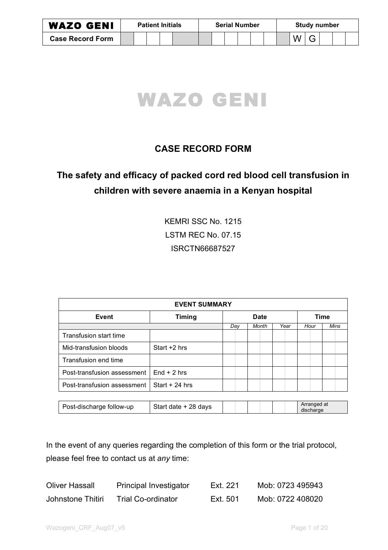| <b>WAZO GENI</b>        | <b>Patient Initials</b> |  |  |  |  | <b>Serial Number</b> |  |  |  |  |  | <b>Study number</b> |   |  |  |  |  |
|-------------------------|-------------------------|--|--|--|--|----------------------|--|--|--|--|--|---------------------|---|--|--|--|--|
| <b>Case Record Form</b> |                         |  |  |  |  |                      |  |  |  |  |  |                     | W |  |  |  |  |



# **CASE RECORD FORM**

# **The safety and efficacy of packed cord red blood cell transfusion in children with severe anaemia in a Kenyan hospital**

KEMRI SSC No. 1215 LSTM REC No. 07.15 ISRCTN66687527

| <b>EVENT SUMMARY</b>        |                      |     |             |      |                          |      |  |  |  |  |  |  |
|-----------------------------|----------------------|-----|-------------|------|--------------------------|------|--|--|--|--|--|--|
| Event                       | <b>Timing</b>        |     | <b>Date</b> |      | Time                     |      |  |  |  |  |  |  |
|                             |                      | Day | Month       | Year | Hour                     | Mins |  |  |  |  |  |  |
| Transfusion start time      |                      |     |             |      |                          |      |  |  |  |  |  |  |
| Mid-transfusion bloods      | Start +2 hrs         |     |             |      |                          |      |  |  |  |  |  |  |
| Transfusion end time        |                      |     |             |      |                          |      |  |  |  |  |  |  |
| Post-transfusion assessment | $End + 2 hrs$        |     |             |      |                          |      |  |  |  |  |  |  |
| Post-transfusion assessment | Start $+24$ hrs      |     |             |      |                          |      |  |  |  |  |  |  |
|                             |                      |     |             |      |                          |      |  |  |  |  |  |  |
| Post-discharge follow-up    | Start date + 28 days |     |             |      | Arranged at<br>discharge |      |  |  |  |  |  |  |

In the event of any queries regarding the completion of this form or the trial protocol, please feel free to contact us at *any* time:

| <b>Oliver Hassall</b> | <b>Principal Investigator</b> | Ext. 221 | Mob: 0723 495943 |
|-----------------------|-------------------------------|----------|------------------|
| Johnstone Thitiri     | <b>Trial Co-ordinator</b>     | Ext. 501 | Mob: 0722 408020 |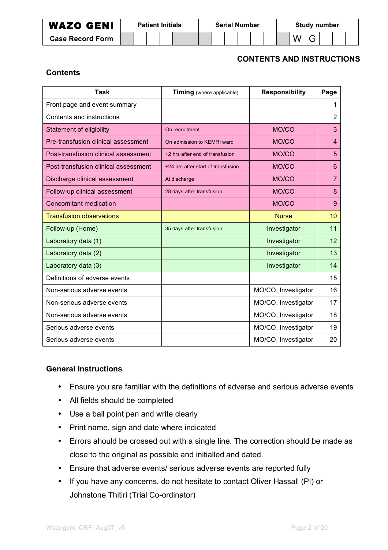| <b>WAZO GENI</b>        | <b>Patient Initials</b> |  |  |  |  | <b>Serial Number</b> |  |  |  |  |  | <b>Study number</b> |  |  |  |  |  |
|-------------------------|-------------------------|--|--|--|--|----------------------|--|--|--|--|--|---------------------|--|--|--|--|--|
| <b>Case Record Form</b> |                         |  |  |  |  |                      |  |  |  |  |  |                     |  |  |  |  |  |

### **CONTENTS AND INSTRUCTIONS**

### **Contents**

| <b>Task</b>                          | Timing (where applicable)          | <b>Responsibility</b> | Page           |
|--------------------------------------|------------------------------------|-----------------------|----------------|
| Front page and event summary         |                                    |                       | 1              |
| Contents and instructions            |                                    |                       | 2              |
| Statement of eligibility             | On recruitment                     | MO/CO                 | 3              |
| Pre-transfusion clinical assessment  | On admission to KEMRI ward         | MO/CO                 | 4              |
| Post-transfusion clinical assessment | +2 hrs after end of transfusion    | MO/CO                 | 5              |
| Post-transfusion clinical assessment | +24 hrs after start of transfusion | MO/CO                 | 6              |
| Discharge clinical assessment        | At discharge                       | MO/CO                 | $\overline{7}$ |
| Follow-up clinical assessment        | 28 days after transfusion          | MO/CO                 | 8              |
| <b>Concomitant medication</b>        |                                    | MO/CO                 | 9              |
| <b>Transfusion observations</b>      |                                    | <b>Nurse</b>          | 10             |
| Follow-up (Home)                     | 35 days after transfusion          | Investigator          | 11             |
| Laboratory data (1)                  |                                    | Investigator          | 12             |
| Laboratory data (2)                  |                                    | Investigator          | 13             |
| Laboratory data (3)                  |                                    | Investigator          | 14             |
| Definitions of adverse events        |                                    |                       | 15             |
| Non-serious adverse events           |                                    | MO/CO, Investigator   | 16             |
| Non-serious adverse events           |                                    | MO/CO, Investigator   | 17             |
| Non-serious adverse events           |                                    | MO/CO, Investigator   | 18             |
| Serious adverse events               |                                    | MO/CO, Investigator   | 19             |
| Serious adverse events               |                                    | MO/CO, Investigator   | 20             |

### **General Instructions**

- Ensure you are familiar with the definitions of adverse and serious adverse events
- All fields should be completed
- Use a ball point pen and write clearly
- Print name, sign and date where indicated
- Errors ahould be crossed out with a single line. The correction should be made as close to the original as possible and initialled and dated.
- Ensure that adverse events/ serious adverse events are reported fully
- If you have any concerns, do not hesitate to contact Oliver Hassall (PI) or Johnstone Thitiri (Trial Co-ordinator)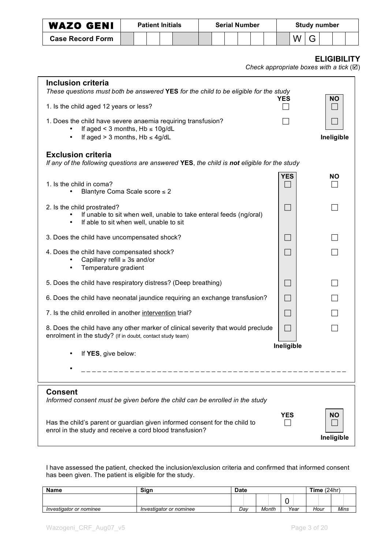| <b>WAZO GENI</b>                                                                                                                                                                                                                                                                                            | <b>Patient Initials</b><br><b>Serial Number</b> |  |                            |  |  |  |  |  |                |   |   | <b>Study number</b>                                                     |  |
|-------------------------------------------------------------------------------------------------------------------------------------------------------------------------------------------------------------------------------------------------------------------------------------------------------------|-------------------------------------------------|--|----------------------------|--|--|--|--|--|----------------|---|---|-------------------------------------------------------------------------|--|
| <b>Case Record Form</b>                                                                                                                                                                                                                                                                                     |                                                 |  |                            |  |  |  |  |  |                | W | G |                                                                         |  |
|                                                                                                                                                                                                                                                                                                             |                                                 |  |                            |  |  |  |  |  |                |   |   | <b>ELIGIBILITY</b><br>Check appropriate boxes with a tick $(\boxtimes)$ |  |
| <b>Inclusion criteria</b><br>These questions must both be answered YES for the child to be eligible for the study<br>1. Is the child aged 12 years or less?<br>1. Does the child have severe anaemia requiring transfusion?<br>If aged < 3 months, $Hb \le 10g/dL$<br>If aged $> 3$ months, $Hb \leq 4g/dL$ |                                                 |  |                            |  |  |  |  |  | YES            |   |   | ΝO<br>Ineligible                                                        |  |
| <b>Exclusion criteria</b><br>If any of the following questions are answered YES, the child is not eligible for the study                                                                                                                                                                                    |                                                 |  |                            |  |  |  |  |  |                |   |   |                                                                         |  |
| 1. Is the child in coma?<br>Blantyre Coma Scale score ≤ 2                                                                                                                                                                                                                                                   |                                                 |  |                            |  |  |  |  |  | <b>YES</b>     |   |   | ΝO                                                                      |  |
| 2. Is the child prostrated?<br>If unable to sit when well, unable to take enteral feeds (ng/oral)<br>If able to sit when well, unable to sit<br>$\bullet$                                                                                                                                                   |                                                 |  |                            |  |  |  |  |  | ш.             |   |   |                                                                         |  |
| 3. Does the child have uncompensated shock?                                                                                                                                                                                                                                                                 |                                                 |  |                            |  |  |  |  |  | $\mathbb{R}^n$ |   |   |                                                                         |  |
| 4. Does the child have compensated shock?<br>Capillary refill $\geq$ 3s and/or<br>Temperature gradient                                                                                                                                                                                                      |                                                 |  |                            |  |  |  |  |  | $\Box$         |   |   |                                                                         |  |
| 5. Does the child have respiratory distress? (Deep breathing)                                                                                                                                                                                                                                               |                                                 |  |                            |  |  |  |  |  | $\mathbf{L}$   |   |   |                                                                         |  |
| 6. Does the child have neonatal jaundice requiring an exchange transfusion?                                                                                                                                                                                                                                 |                                                 |  |                            |  |  |  |  |  |                |   |   |                                                                         |  |
| 7. Is the child enrolled in another intervention trial?                                                                                                                                                                                                                                                     |                                                 |  |                            |  |  |  |  |  |                |   |   |                                                                         |  |
| 8. Does the child have any other marker of clinical severity that would preclude<br>enrolment in the study? (If in doubt, contact study team)                                                                                                                                                               |                                                 |  |                            |  |  |  |  |  |                |   |   |                                                                         |  |
| If YES, give below:                                                                                                                                                                                                                                                                                         |                                                 |  | __________________________ |  |  |  |  |  | Ineligible     |   |   |                                                                         |  |
| <b>Consent</b><br>Informed consent must be given before the child can be enrolled in the study                                                                                                                                                                                                              |                                                 |  |                            |  |  |  |  |  |                |   |   |                                                                         |  |
| Has the child's parent or guardian given informed consent for the child to<br>enrol in the study and receive a cord blood transfusion?                                                                                                                                                                      |                                                 |  |                            |  |  |  |  |  | <b>YES</b>     |   |   | <b>NO</b><br>Ineligible                                                 |  |

I have assessed the patient, checked the inclusion/exclusion criteria and confirmed that informed consent has been given. The patient is eligible for the study.

| <b>Name</b>             | Sign                    | <b>Date</b> |       | Time $(24hr)$ |      |      |
|-------------------------|-------------------------|-------------|-------|---------------|------|------|
|                         |                         |             |       |               |      |      |
| Investigator or nominee | Investigator or nominee | Dav         | Month | Year          | Hour | Mins |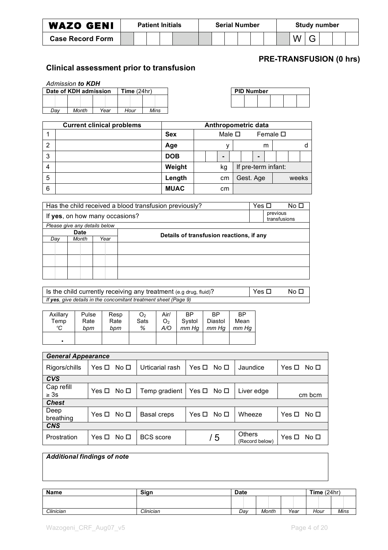| <b>WAZO GENI</b>        | <b>Patient Initials</b> |  |  |  | <b>Serial Number</b> |  |  |  |  |  | Study number |  |   |  |  |  |  |
|-------------------------|-------------------------|--|--|--|----------------------|--|--|--|--|--|--------------|--|---|--|--|--|--|
| <b>Case Record Form</b> |                         |  |  |  |                      |  |  |  |  |  |              |  | W |  |  |  |  |

## **PRE-TRANSFUSION (0 hrs)**

## **Clinical assessment prior to transfusion**

|     | <b>Admission to KDH</b> |      |               |      |  |
|-----|-------------------------|------|---------------|------|--|
|     | Date of KDH admission   |      | Time $(24hr)$ |      |  |
|     |                         |      |               |      |  |
|     |                         |      |               |      |  |
| Dav | Month                   | Year | Hour          | Mins |  |

| <b>PID Number</b> |  |  |  |  |  |  |  |  |  |  |  |  |  |
|-------------------|--|--|--|--|--|--|--|--|--|--|--|--|--|
|                   |  |  |  |  |  |  |  |  |  |  |  |  |  |
|                   |  |  |  |  |  |  |  |  |  |  |  |  |  |

|                | <b>Current clinical problems</b> |             |  |                |                | Anthropometric data |   |                     |       |   |  |
|----------------|----------------------------------|-------------|--|----------------|----------------|---------------------|---|---------------------|-------|---|--|
|                |                                  | <b>Sex</b>  |  |                | Male $\square$ |                     |   | Female $\square$    |       |   |  |
| $\overline{2}$ |                                  | Age         |  | v              |                |                     | m |                     |       | d |  |
| 3              |                                  | <b>DOB</b>  |  | $\blacksquare$ |                | -                   |   |                     |       |   |  |
| 4              |                                  | Weight      |  | kg             |                |                     |   | If pre-term infant: |       |   |  |
| 5              |                                  | Length      |  | cm             |                | Gest. Age           |   |                     | weeks |   |  |
| 6              |                                  | <b>MUAC</b> |  | cm             |                |                     |   |                     |       |   |  |

|                               | Has the child received a blood transfusion previously? | Yes □                          |                                          | No □ |          |              |  |  |  |
|-------------------------------|--------------------------------------------------------|--------------------------------|------------------------------------------|------|----------|--------------|--|--|--|
|                               |                                                        | If yes, on how many occasions? |                                          |      | previous | transfusions |  |  |  |
| Please give any details below |                                                        |                                |                                          |      |          |              |  |  |  |
|                               | <b>Date</b>                                            |                                | Details of transfusion reactions, if any |      |          |              |  |  |  |
| Day                           | Month                                                  | Year                           |                                          |      |          |              |  |  |  |
|                               |                                                        |                                |                                          |      |          |              |  |  |  |
|                               |                                                        |                                |                                          |      |          |              |  |  |  |
|                               |                                                        |                                |                                          |      |          |              |  |  |  |

Is the child currently receiving any treatment (e.g drug, fluid)?  $\boxed{\phantom{a}}$  Yes  $\boxed{\phantom{a}}$  No  $\boxed{\phantom{a}}$ *If yes, give details in the concomitant treatment sheet (Page 9)*

| Axillary       | Pulse | Resp | O <sub>2</sub> | Air/           | <b>BP</b> | ВP      | ВP    |
|----------------|-------|------|----------------|----------------|-----------|---------|-------|
| Temp           | Rate  | Rate | Sats           | O <sub>2</sub> | Systol    | Diastol | Mean  |
| $\rm ^{o}C$    | bpm   | bpm  | %              | A/O            | mm Ha     | mm Ha   | mm Hq |
| $\blacksquare$ |       |      |                |                |           |         |       |

| <b>General Appearance</b> |            |              |                  |                               |                                 |                               |
|---------------------------|------------|--------------|------------------|-------------------------------|---------------------------------|-------------------------------|
| Rigors/chills             | Yes □      | No $\square$ | Urticarial rash  | Yes □<br>No <sub>1</sub>      | Jaundice                        | Yes $\Box$<br>No <sub>1</sub> |
| <b>CVS</b>                |            |              |                  |                               |                                 |                               |
| Cap refill<br>$\geq 3s$   | Yes □ No □ |              | Temp gradient    | Yes $\square$<br>No $\square$ | Liver edge                      | cm bcm                        |
| <b>Chest</b>              |            |              |                  |                               |                                 |                               |
| Deep<br>breathing         | Yes ロ No ロ |              | Basal creps      | No $\square$<br>Yes $\Box$    | Wheeze                          | Yes $\Box$<br>No <sub>1</sub> |
| <b>CNS</b>                |            |              |                  |                               |                                 |                               |
| Prostration               | Yes $\Box$ | No □         | <b>BCS</b> score | / 5                           | <b>Others</b><br>(Record below) | Yes $\Box$<br>No <sub>1</sub> |

| <b>Additional findings of note</b> |           |             |       |      |               |      |
|------------------------------------|-----------|-------------|-------|------|---------------|------|
| Name                               | Sign      | <b>Date</b> |       |      | Time $(24hr)$ |      |
|                                    |           |             |       |      |               |      |
| Clinician                          | Clinician | Dav         | Month | Year | Hour          | Mins |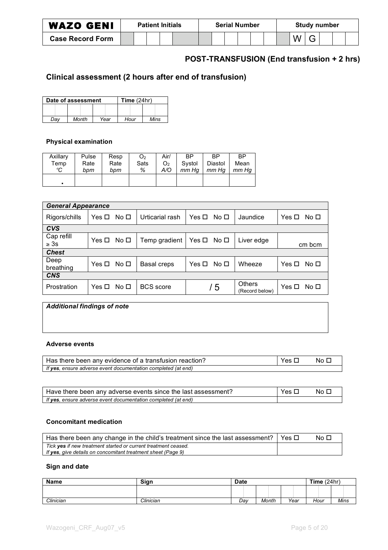| <b>WAZO GENI</b><br><b>Patient Initials</b> |  | <b>Serial Number</b> |  |  |  | <b>Study number</b> |  |  |  |  |  |  |  |  |  |  |  |
|---------------------------------------------|--|----------------------|--|--|--|---------------------|--|--|--|--|--|--|--|--|--|--|--|
| <b>Case Record Form</b>                     |  |                      |  |  |  |                     |  |  |  |  |  |  |  |  |  |  |  |

# **POST-TRANSFUSION (End transfusion + 2 hrs)**

# **Clinical assessment (2 hours after end of transfusion)**

|     | Date of assessment | Time $(24hr)$ |      |      |  |  |  |
|-----|--------------------|---------------|------|------|--|--|--|
|     |                    |               |      |      |  |  |  |
| Dav | Month              | Year          | Hour | Mins |  |  |  |

#### **Physical examination**

| Axillary | Pulse | Resp | O <sub>2</sub> | Air/ | ВP     | <b>RP</b> | <b>BP</b> |
|----------|-------|------|----------------|------|--------|-----------|-----------|
| Temp     | Rate  | Rate | Sats           | O2   | Systol | Diastol   | Mean      |
| °C       | bpm   | bpm  | %              | A/O  | mm Ha  | mm Ha     | mm Hq     |
|          |       |      |                |      |        |           |           |

| <b>General Appearance</b> |            |                 |                  |                          |                                 |                               |
|---------------------------|------------|-----------------|------------------|--------------------------|---------------------------------|-------------------------------|
| Rigors/chills             | Yes □      | No <sub>1</sub> | Urticarial rash  | Yes □<br>No <sub>1</sub> | Jaundice                        | Yes $\Box$<br>No <sub>1</sub> |
| <b>CVS</b>                |            |                 |                  |                          |                                 |                               |
| Cap refill<br>$\geq 3s$   | Yes $\Box$ | No <sub>1</sub> | Temp gradient    | Yes □<br>No <sub>1</sub> | Liver edge                      | cm bcm                        |
| <b>Chest</b>              |            |                 |                  |                          |                                 |                               |
| Deep<br>breathing         | Yes □      | No <sub>D</sub> | Basal creps      | No <sub>1</sub><br>Yes □ | Wheeze                          | No <sub>1</sub><br>Yes $\Box$ |
| <b>CNS</b>                |            |                 |                  |                          |                                 |                               |
| Prostration               | Yes $\Box$ | No <sub>1</sub> | <b>BCS</b> score | /5                       | <b>Others</b><br>(Record below) | Yes $\Box$<br>No <sub>1</sub> |

| <b>Additional findings of note</b> |  |
|------------------------------------|--|
|                                    |  |
|                                    |  |
| Addressed accepted                 |  |

#### **Adverse events**

| Has there been any evidence of a transfusion reaction?        | Yes L | No F |
|---------------------------------------------------------------|-------|------|
| If yes, ensure adverse event documentation completed (at end) |       |      |

| Have there been any adverse events since the last assessment? | Yes □ | No O |
|---------------------------------------------------------------|-------|------|
| If yes, ensure adverse event documentation completed (at end) |       |      |

#### **Concomitant medication**

| Has there been any change in the child's treatment since the last assessment? $\vert$ Yes $\Box$ | No $\Box$ |
|--------------------------------------------------------------------------------------------------|-----------|
| Tick yes if new treatment started or current treatment ceased.                                   |           |
| If yes, give details on concomitant treatment sheet (Page 9)                                     |           |

#### **Sign and date**

| <b>Name</b> | Sign      | <b>Date</b> |       |      | Time $(24hr)$ |      |  |
|-------------|-----------|-------------|-------|------|---------------|------|--|
|             |           |             |       |      |               |      |  |
| Clinician   | Clinician | Dav         | Month | Year | Hour          | Mins |  |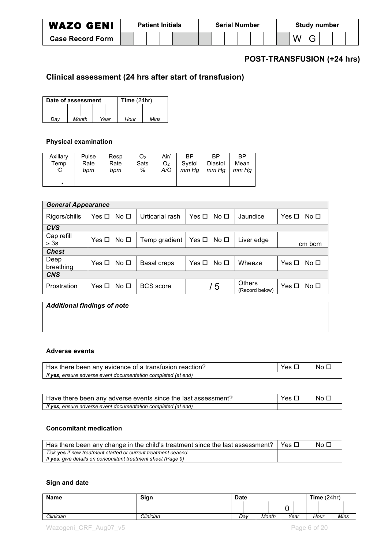| <b>WAZO GENI</b>        | <b>Patient Initials</b> |  |  |  | <b>Serial Number</b> |  |  |  |  | <b>Study number</b> |  |  |  |  |  |  |  |
|-------------------------|-------------------------|--|--|--|----------------------|--|--|--|--|---------------------|--|--|--|--|--|--|--|
| <b>Case Record Form</b> |                         |  |  |  |                      |  |  |  |  |                     |  |  |  |  |  |  |  |

# **POST-TRANSFUSION (+24 hrs)**

# **Clinical assessment (24 hrs after start of transfusion)**

|     | Date of assessment | Time $(24hr)$ |      |      |  |  |  |
|-----|--------------------|---------------|------|------|--|--|--|
|     |                    |               |      |      |  |  |  |
| Dav | Month              | Year          | Hour | Mins |  |  |  |

#### **Physical examination**

| Axillary | Pulse | Resp | O <sub>2</sub> | Air/ | ВP     | <b>RP</b> | <b>BP</b> |
|----------|-------|------|----------------|------|--------|-----------|-----------|
| Temp     | Rate  | Rate | Sats           | O2   | Systol | Diastol   | Mean      |
| °C       | bpm   | bpm  | %              | A/O  | mm Ha  | mm Ha     | mm Hq     |
|          |       |      |                |      |        |           |           |

| <b>General Appearance</b> |            |                 |                  |                          |                                 |                               |
|---------------------------|------------|-----------------|------------------|--------------------------|---------------------------------|-------------------------------|
| Rigors/chills             | Yes $\Box$ | No <sub>1</sub> | Urticarial rash  | Yes □<br>No <sub>1</sub> | Jaundice                        | Yes $\Box$<br>No <sub>1</sub> |
| <b>CVS</b>                |            |                 |                  |                          |                                 |                               |
| Cap refill<br>$\geq 3s$   | Yes □ No □ |                 | Temp gradient    | $Yes \Box No \Box$       | Liver edge                      | cm bcm                        |
| <b>Chest</b>              |            |                 |                  |                          |                                 |                               |
| Deep<br>breathing         | Yes ロ No ロ |                 | Basal creps      | No $\Box$<br>Yes $\Box$  | Wheeze                          | Yes □<br>No $\Box$            |
| <b>CNS</b>                |            |                 |                  |                          |                                 |                               |
| Prostration               | Yes $\Box$ | No <sub>1</sub> | <b>BCS</b> score | / 5                      | <b>Others</b><br>(Record below) | No <sub>1</sub><br>Yes $\Box$ |
|                           |            |                 |                  |                          |                                 |                               |

| <b>Additional findings of note</b> |  |  |
|------------------------------------|--|--|
|                                    |  |  |
|                                    |  |  |
|                                    |  |  |

#### **Adverse events**

| Has there been any evidence of a transfusion reaction?        | Yes □ | No D |
|---------------------------------------------------------------|-------|------|
| If yes, ensure adverse event documentation completed (at end) |       |      |

| Have there been any adverse events since the last assessment? | Yes L | No L |
|---------------------------------------------------------------|-------|------|
| If yes, ensure adverse event documentation completed (at end) |       |      |

#### **Concomitant medication**

| Has there been any change in the child's treatment since the last assessment?   Yes $\Box$ | No ⊡i |
|--------------------------------------------------------------------------------------------|-------|
| Tick yes if new treatment started or current treatment ceased.                             |       |
| If yes, give details on concomitant treatment sheet (Page 9)                               |       |

#### **Sign and date**

| <b>Name</b> | Sign      | <b>Date</b> |  |       |  | Time $(24hr)$ |  |  |      |      |  |
|-------------|-----------|-------------|--|-------|--|---------------|--|--|------|------|--|
|             |           |             |  |       |  | ∼             |  |  |      |      |  |
| Clinician   | Clinician | Dav         |  | Month |  | Year          |  |  | Hour | Mins |  |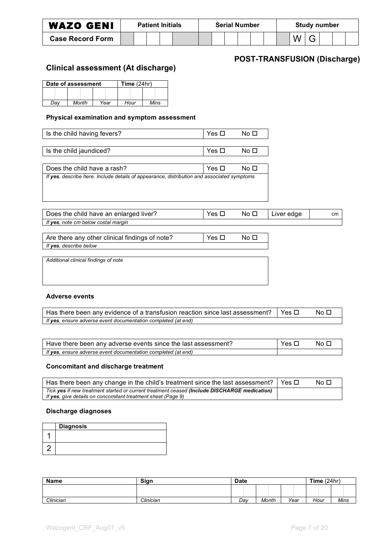| <b>WAZO GENI</b>        | <b>Patient Initials</b> |  |  | <b>Serial Number</b> |  |  |  |  | <b>Study number</b> |  |  |  |   |  |  |  |  |
|-------------------------|-------------------------|--|--|----------------------|--|--|--|--|---------------------|--|--|--|---|--|--|--|--|
| <b>Case Record Form</b> |                         |  |  |                      |  |  |  |  |                     |  |  |  | W |  |  |  |  |

## **POST-TRANSFUSION (Discharge)**

## **Clinical assessment (At discharge)**

|     | Date of assessment |      | Time $(24hr)$ |      |  |  |  |  |
|-----|--------------------|------|---------------|------|--|--|--|--|
|     |                    |      |               |      |  |  |  |  |
| Dav | Month              | Year | Hour          | Mins |  |  |  |  |

#### **Physical examination and symptom assessment**

| Is the child having fevers?                                                                | Yes □      | No □            |            |    |
|--------------------------------------------------------------------------------------------|------------|-----------------|------------|----|
|                                                                                            |            |                 |            |    |
| Is the child jaundiced?                                                                    | Yes $\Box$ | No <sub>D</sub> |            |    |
|                                                                                            |            |                 |            |    |
| Does the child have a rash?                                                                | Yes □      | No <sub>D</sub> |            |    |
| If yes, describe here. Include details of appearance, distribution and associated symptoms |            |                 |            |    |
|                                                                                            |            |                 |            |    |
|                                                                                            |            |                 |            |    |
|                                                                                            |            |                 |            |    |
| Does the child have an enlarged liver?                                                     | Yes $\Box$ | No □            | Liver edge | cm |
| If yes, note cm below costal margin                                                        |            |                 |            |    |
|                                                                                            |            |                 |            |    |
| Are there any other clinical findings of note?                                             | Yes □      | No <sub>D</sub> |            |    |
| If yes, describe below                                                                     |            |                 |            |    |
|                                                                                            |            |                 |            |    |
| Additional clinical findings of note                                                       |            |                 |            |    |
|                                                                                            |            |                 |            |    |
|                                                                                            |            |                 |            |    |
|                                                                                            |            |                 |            |    |

#### **Adverse events**

| Has there been any evidence of a transfusion reaction since last assessment? $\mid$ Yes $\Box$ | No ⊡ |
|------------------------------------------------------------------------------------------------|------|
| If yes, ensure adverse event documentation completed (at end)                                  |      |

| Have there been any adverse events since the last assessment? | Yes $\Box$ | No □ |
|---------------------------------------------------------------|------------|------|
| If yes, ensure adverse event documentation completed (at end) |            |      |

#### **Concomitant and discharge treatment**

| Has there been any change in the child's treatment since the last assessment?   Yes $\Box$   | No □ |
|----------------------------------------------------------------------------------------------|------|
| Tick yes if new treatment started or current treatment ceased (Include DISCHARGE medication) |      |
| If yes, give details on concomitant treatment sheet (Page 9)                                 |      |

#### **Discharge diagnoses**

| <b>Diagnosis</b> |
|------------------|
|                  |
|                  |

| <b>Name</b> | Sign      | <b>Date</b> |              | Time (<br>(24hr) |      |             |  |
|-------------|-----------|-------------|--------------|------------------|------|-------------|--|
|             |           |             |              |                  |      |             |  |
| Clinician   | Clinician | Dav         | <b>Month</b> | Year             | Hour | <b>Mins</b> |  |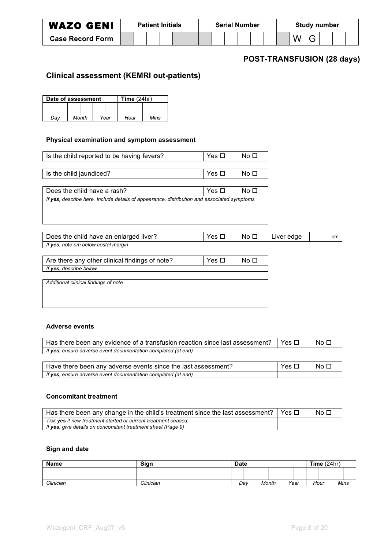| <b>WAZO GENI</b>        |  | <b>Patient Initials</b> |  |  | <b>Serial Number</b> |  | <b>Study number</b> |  |  |  |  |
|-------------------------|--|-------------------------|--|--|----------------------|--|---------------------|--|--|--|--|
| <b>Case Record Form</b> |  |                         |  |  |                      |  |                     |  |  |  |  |

## **POST-TRANSFUSION (28 days)**

### **Clinical assessment (KEMRI out-patients)**

|              | Date of assessment | Time $(24hr)$ |      |      |
|--------------|--------------------|---------------|------|------|
|              |                    |               |      |      |
| Month<br>Dav |                    | Year          | Hour | Mins |

#### **Physical examination and symptom assessment**

| Is the child reported to be having fevers?                                                 | Yes $\Box$ | No □            |            |    |
|--------------------------------------------------------------------------------------------|------------|-----------------|------------|----|
|                                                                                            |            |                 |            |    |
| Is the child jaundiced?                                                                    | Yes $\Box$ | No □            |            |    |
|                                                                                            |            |                 |            |    |
| Does the child have a rash?                                                                | Yes □      | No <sub>1</sub> |            |    |
| If yes, describe here. Include details of appearance, distribution and associated symptoms |            |                 |            |    |
|                                                                                            |            |                 |            |    |
|                                                                                            |            |                 |            |    |
|                                                                                            |            |                 |            |    |
| Does the child have an enlarged liver?                                                     | Yes $\Box$ | No <sub>D</sub> | Liver edge | cm |
| If yes, note cm below costal margin                                                        |            |                 |            |    |
|                                                                                            |            |                 |            |    |
| Are there any other clinical findings of note?                                             | Yes $\Box$ | No <sub>1</sub> |            |    |
| If yes, describe below                                                                     |            |                 |            |    |
|                                                                                            |            |                 |            |    |
| Additional clinical findings of note                                                       |            |                 |            |    |
|                                                                                            |            |                 |            |    |
|                                                                                            |            |                 |            |    |
|                                                                                            |            |                 |            |    |

#### **Adverse events**

| Has there been any evidence of a transfusion reaction since last assessment? | Yes $\Pi$  | No □ |
|------------------------------------------------------------------------------|------------|------|
| If yes, ensure adverse event documentation completed (at end)                |            |      |
|                                                                              |            |      |
| Have there been any adverse events since the last assessment?                | Yes $\Box$ | No □ |

#### **Concomitant treatment**

*If yes, ensure adverse event documentation completed (at end)*

| Has there been any change in the child's treatment since the last assessment?                                                  | Yes $\Box$ | No Li |
|--------------------------------------------------------------------------------------------------------------------------------|------------|-------|
| Tick yes if new treatment started or current treatment ceased.<br>If yes, give details on concomitant treatment sheet (Page 9) |            |       |

#### **Sign and date**

| <b>Name</b> | Sign      | <b>Date</b> |       | Time $(24hr)$ |      |      |  |
|-------------|-----------|-------------|-------|---------------|------|------|--|
|             |           |             |       |               |      |      |  |
| Clinician   | Clinician | Dav         | Month | Year          | Hour | Mins |  |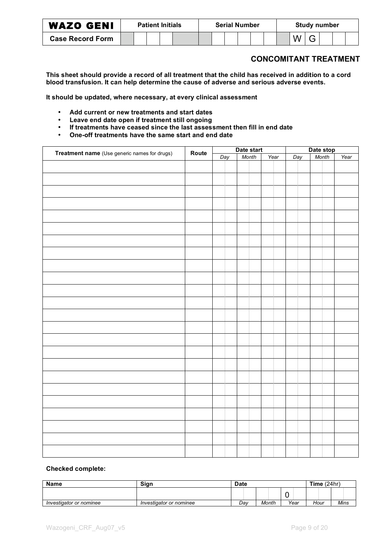| <b>WAZO GENI</b>        |  | <b>Patient Initials</b> |  | <b>Serial Number</b> |  |  | <b>Study number</b> |  |  |  |  |
|-------------------------|--|-------------------------|--|----------------------|--|--|---------------------|--|--|--|--|
| <b>Case Record Form</b> |  |                         |  |                      |  |  |                     |  |  |  |  |

### **CONCOMITANT TREATMENT**

This sheet should provide a record of all treatment that the child has received in addition to a cord **blood transfusion. It can help determine the cause of adverse and serious adverse events.**

**It should be updated, where necessary, at every clinical assessment**

- **Add current or new treatments and start dates**
- **Leave end date open if treatment still ongoing**
- **If treatments have ceased since the last assessment then fill in end date**
- **One-off treatments have the same start and end date**

|                                              |       | Date start |              |  | Date stop |  |      |  |     |  |       |      |
|----------------------------------------------|-------|------------|--------------|--|-----------|--|------|--|-----|--|-------|------|
| Treatment name (Use generic names for drugs) | Route |            | Month<br>Day |  |           |  | Year |  | Day |  | Month | Year |
|                                              |       |            |              |  |           |  |      |  |     |  |       |      |
|                                              |       |            |              |  |           |  |      |  |     |  |       |      |
|                                              |       |            |              |  |           |  |      |  |     |  |       |      |
|                                              |       |            |              |  |           |  |      |  |     |  |       |      |
|                                              |       |            |              |  |           |  |      |  |     |  |       |      |
|                                              |       |            |              |  |           |  |      |  |     |  |       |      |
|                                              |       |            |              |  |           |  |      |  |     |  |       |      |
|                                              |       |            |              |  |           |  |      |  |     |  |       |      |
|                                              |       |            |              |  |           |  |      |  |     |  |       |      |
|                                              |       |            |              |  |           |  |      |  |     |  |       |      |
|                                              |       |            |              |  |           |  |      |  |     |  |       |      |
|                                              |       |            |              |  |           |  |      |  |     |  |       |      |
|                                              |       |            |              |  |           |  |      |  |     |  |       |      |
|                                              |       |            |              |  |           |  |      |  |     |  |       |      |
|                                              |       |            |              |  |           |  |      |  |     |  |       |      |
|                                              |       |            |              |  |           |  |      |  |     |  |       |      |
|                                              |       |            |              |  |           |  |      |  |     |  |       |      |
|                                              |       |            |              |  |           |  |      |  |     |  |       |      |
|                                              |       |            |              |  |           |  |      |  |     |  |       |      |
|                                              |       |            |              |  |           |  |      |  |     |  |       |      |
|                                              |       |            |              |  |           |  |      |  |     |  |       |      |
|                                              |       |            |              |  |           |  |      |  |     |  |       |      |
|                                              |       |            |              |  |           |  |      |  |     |  |       |      |
|                                              |       |            |              |  |           |  |      |  |     |  |       |      |
|                                              |       |            |              |  |           |  |      |  |     |  |       |      |
|                                              |       |            |              |  |           |  |      |  |     |  |       |      |
|                                              |       |            |              |  |           |  |      |  |     |  |       |      |

#### **Checked complete:**

| <b>Name</b>             | Sian                    | <b>Date</b> |       | Time $(24hr)$ |      |             |
|-------------------------|-------------------------|-------------|-------|---------------|------|-------------|
|                         |                         |             |       | ີ             |      |             |
| Investigator or nominee | Investigator or nominee | Dav         | Month | Year          | Hour | <b>Mins</b> |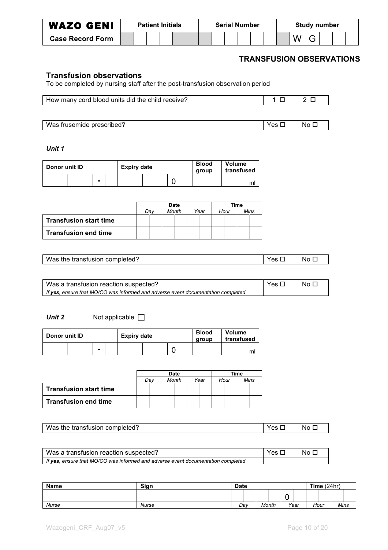| <b>WAZO GENI</b>        | <b>Patient Initials</b> |  |  | <b>Serial Number</b> |  |  |  | <b>Study number</b> |  |  |  |  |  |  |  |  |  |
|-------------------------|-------------------------|--|--|----------------------|--|--|--|---------------------|--|--|--|--|--|--|--|--|--|
| <b>Case Record Form</b> |                         |  |  |                      |  |  |  |                     |  |  |  |  |  |  |  |  |  |

### **TRANSFUSION OBSERVATIONS**

#### **Transfusion observations**

To be completed by nursing staff after the post-transfusion observation period

| How many cord blood units did the child receive? | $2\Box$ |
|--------------------------------------------------|---------|

Was frusemide prescribed? Yes No

*Unit 1*

| Donor unit ID | <b>Expiry date</b> |  | <b>Blood</b><br>group | <b>Volume</b><br>transfused |  |  |  |  |  |    |
|---------------|--------------------|--|-----------------------|-----------------------------|--|--|--|--|--|----|
|               |                    |  |                       |                             |  |  |  |  |  | ml |

|                               |     | Date  |      |      | Time |
|-------------------------------|-----|-------|------|------|------|
|                               | Dav | Month | Year | Hour | Mins |
| <b>Transfusion start time</b> |     |       |      |      |      |
| <b>Transfusion end time</b>   |     |       |      |      |      |

| Was the transfusion completed? | Yes $\Box$ | $N$ o $\Box$ |
|--------------------------------|------------|--------------|

| Was a transfusion reaction suspected?                                            | Yes D | No F |
|----------------------------------------------------------------------------------|-------|------|
| If yes, ensure that MO/CO was informed and adverse event documentation completed |       |      |

*Unit* **2** Not applicable □

| <b>Expiry date</b> |   | <b>Blood</b> | <b>Volume</b> |  |
|--------------------|---|--------------|---------------|--|
| Donor unit ID      |   | group        | transfused    |  |
| $\blacksquare$     | ື |              | mı            |  |

|                               |     | Date  | Time |      |      |
|-------------------------------|-----|-------|------|------|------|
|                               | Dav | Month | Year | Hour | Mins |
| <b>Transfusion start time</b> |     |       |      |      |      |
| <b>Transfusion end time</b>   |     |       |      |      |      |

| Was the transfusion completed? | Yes $\Box$ | No <sub>1</sub> |
|--------------------------------|------------|-----------------|

| Was a transfusion reaction suspected?                                            | Yes $\Box$ | No E |
|----------------------------------------------------------------------------------|------------|------|
| If yes, ensure that MO/CO was informed and adverse event documentation completed |            |      |

| <b>Name</b> | Sign  | <b>Date</b> |       |      | Time $(24hr)$ |      |  |  |  |
|-------------|-------|-------------|-------|------|---------------|------|--|--|--|
|             |       |             |       | ∼    |               |      |  |  |  |
| Nurse       | Nurse | Dav         | Month | Year | Hour          | Mins |  |  |  |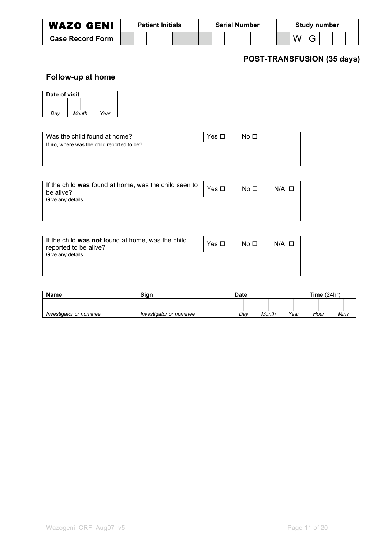| <b>WAZO GENI</b>        |  | <b>Patient Initials</b> |  | <b>Serial Number</b> |  |  |  |  | <b>Study number</b> |  |  |  |  |  |  |
|-------------------------|--|-------------------------|--|----------------------|--|--|--|--|---------------------|--|--|--|--|--|--|
| <b>Case Record Form</b> |  |                         |  |                      |  |  |  |  |                     |  |  |  |  |  |  |

# **POST-TRANSFUSION (35 days)**

# **Follow-up at home**

| Date of visit |       |      |  |  |  |  |  |  |  |  |
|---------------|-------|------|--|--|--|--|--|--|--|--|
|               |       |      |  |  |  |  |  |  |  |  |
| Dav           | Month | Year |  |  |  |  |  |  |  |  |

| l Was the child found at home?             | Yes $\Box$ | No □ |
|--------------------------------------------|------------|------|
| If no, where was the child reported to be? |            |      |
|                                            |            |      |

| If the child was found at home, was the child seen to<br>be alive? | Yes $\Box$ | No □ | $N/A$ $\Box$ |
|--------------------------------------------------------------------|------------|------|--------------|
| Give any details                                                   |            |      |              |
|                                                                    |            |      |              |
|                                                                    |            |      |              |

| If the child was not found at home, was the child<br>reported to be alive? | Yes □ | No ⊡ | $N/A$ $\Box$ |
|----------------------------------------------------------------------------|-------|------|--------------|
| Give any details                                                           |       |      |              |
|                                                                            |       |      |              |

| <b>Name</b>             | Sian                    | <b>Date</b> |       | Time $(24hr)$ |      |      |  |  |
|-------------------------|-------------------------|-------------|-------|---------------|------|------|--|--|
|                         |                         |             |       |               |      |      |  |  |
| Investigator or nominee | Investigator or nominee | Dav         | Month | Year          | Hour | Mins |  |  |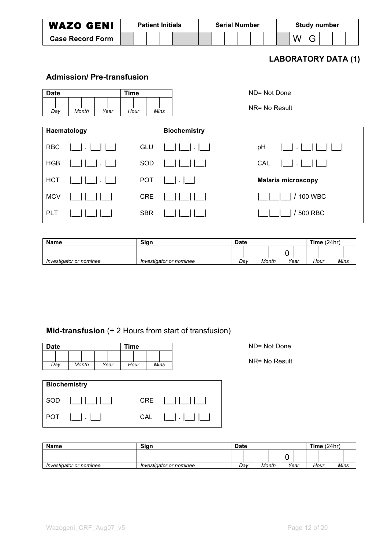|             | <b>WAZO GENI</b>                 |      |      | <b>Patient Initials</b> |                     |  | <b>Serial Number</b> |                           |                             | <b>Study number</b> |  |  |
|-------------|----------------------------------|------|------|-------------------------|---------------------|--|----------------------|---------------------------|-----------------------------|---------------------|--|--|
|             | <b>Case Record Form</b>          |      |      |                         |                     |  |                      |                           | W                           | G                   |  |  |
|             |                                  |      |      |                         |                     |  |                      |                           | <b>LABORATORY DATA (1)</b>  |                     |  |  |
|             | <b>Admission/Pre-transfusion</b> |      |      |                         |                     |  |                      |                           |                             |                     |  |  |
| <b>Date</b> |                                  |      |      |                         | ND= Not Done        |  |                      |                           |                             |                     |  |  |
| Day         | Month                            | Year | Hour | Mins                    |                     |  |                      | NR= No Result             |                             |                     |  |  |
| Haematology |                                  |      |      |                         | <b>Biochemistry</b> |  |                      |                           |                             |                     |  |  |
| <b>RBC</b>  |                                  |      |      | GLU                     |                     |  |                      | pH                        | $\mathbf{1}$ . $\mathbf{1}$ |                     |  |  |
| <b>HGB</b>  |                                  |      |      | SOD                     |                     |  |                      | CAL                       | $\Box$                      |                     |  |  |
| <b>HCT</b>  |                                  |      |      | <b>POT</b>              |                     |  |                      | <b>Malaria microscopy</b> |                             |                     |  |  |
| <b>MCV</b>  |                                  |      |      | <b>CRE</b>              |                     |  |                      |                           |                             | / 100 WBC           |  |  |

PLT |\_\_| |\_\_| |\_\_| SBR |\_\_| |\_\_| |\_\_| |\_\_|\_\_|\_\_| / 500 RBC **Name Sign Bate Reserve Extending Sign Bate Date Time** (24hr)  $\frac{0}{\text{Year}}$ 

*Investigator or nominee Investigator or nominee Day Month Year Hour Mins*

# **Mid-transfusion** (+ 2 Hours from start of transfusion)

| <b>Date</b> |                     |      | Time |            |                                                                                                                                                                                       | ND= Not Done  |
|-------------|---------------------|------|------|------------|---------------------------------------------------------------------------------------------------------------------------------------------------------------------------------------|---------------|
| Day         | Month               | Year | Hour | Mins       |                                                                                                                                                                                       | NR= No Result |
|             |                     |      |      |            |                                                                                                                                                                                       |               |
|             | <b>Biochemistry</b> |      |      |            |                                                                                                                                                                                       |               |
| SOD         | 1  1  1  1  1       |      |      | <b>CRE</b> | 1  1  1  1  1                                                                                                                                                                         |               |
| <b>POT</b>  | $\Box$ $\Box$       |      | CAL  |            | $\begin{array}{c} \hline \end{array} \begin{array}{c} \hline \end{array} \begin{array}{c} \hline \end{array} \begin{array}{c} \hline \end{array} \begin{array}{c} \hline \end{array}$ |               |

| <b>Name</b>             | Sign                    | <b>Date</b> |       | Time $(24hr)$ |      |      |  |  |
|-------------------------|-------------------------|-------------|-------|---------------|------|------|--|--|
|                         |                         |             |       | ∼             |      |      |  |  |
| Investigator or nominee | Investigator or nominee | Dav         | Month | Year          | Hour | Mins |  |  |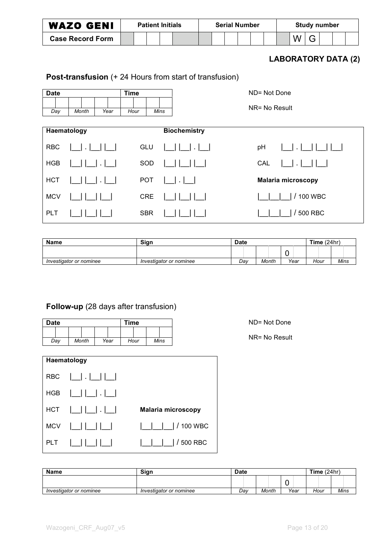| <b>WAZO GENI</b>        | <b>Patient Initials</b> |  |  |  |  | <b>Serial Number</b> |  |  |  |  | Study number |  |  |  |  |  |  |
|-------------------------|-------------------------|--|--|--|--|----------------------|--|--|--|--|--------------|--|--|--|--|--|--|
| <b>Case Record Form</b> |                         |  |  |  |  |                      |  |  |  |  |              |  |  |  |  |  |  |

## **LABORATORY DATA (2)**

# **Post-transfusion** (+ 24 Hours from start of transfusion)

| <b>Date</b> |                   |        | <b>Time</b> |      | ND= Not Done                               |
|-------------|-------------------|--------|-------------|------|--------------------------------------------|
| Day         | Month             | Year   | Hour        | Mins | NR= No Result                              |
|             | Haematology       |        |             |      | <b>Biochemistry</b>                        |
| <b>RBC</b>  | $\Box \cdot \bot$ |        | GLU         |      | pH<br>$\Box$ . $\Box$<br>$  \Box  \cdot  $ |
| <b>HGB</b>  |                   | $\sim$ | SOD         |      | CAL<br>$\cdot$ 1                           |
| <b>HCT</b>  |                   |        | <b>POT</b>  |      | <b>Malaria microscopy</b><br>  .           |
| <b>MCV</b>  |                   |        | <b>CRE</b>  |      | <b>100 WBC</b>                             |
| PLT         |                   |        | <b>SBR</b>  |      | / 500 RBC                                  |

| Name                    | Sign                    | <b>Date</b> |       | Time $(24hr)$ |      |             |  |
|-------------------------|-------------------------|-------------|-------|---------------|------|-------------|--|
|                         |                         |             |       | u             |      |             |  |
| Investigator or nominee | Investigator or nominee | Dav         | Month | Year          | Hour | <b>Mins</b> |  |

# **Follow-up** (28 days after transfusion)

| <b>Date</b> |       | Time |      |  |      |  |      |  |  |
|-------------|-------|------|------|--|------|--|------|--|--|
|             |       |      |      |  |      |  |      |  |  |
| Day         | Month |      | Year |  | Hour |  | Mins |  |  |

|     | Haematology          |                    |
|-----|----------------------|--------------------|
|     | RBC $ \_$ . $ \_$    |                    |
|     | $HGB$                |                    |
|     | $HCT$ $  $ $  $ $  $ | Malaria microscopy |
|     | $MCV$                | / 100 WBC          |
| PLT |                      | / 500 RBC          |

ND= Not Done

NR= No Result

| <b>Name</b>             | <b>Sian</b>             | <b>Date</b> |       |        | Time $(24hr)$ |      |  |  |
|-------------------------|-------------------------|-------------|-------|--------|---------------|------|--|--|
|                         |                         |             |       | -<br>ີ |               |      |  |  |
| Investigator or nominee | Investigator or nominee | Dav         | Month | Year   | Hour          | Mins |  |  |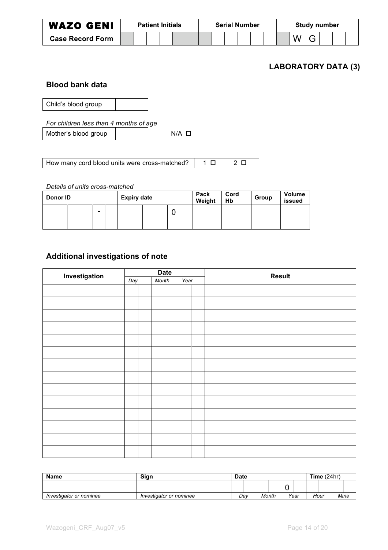| <b>WAZO GENI</b>        |  | <b>Serial Number</b> |  |  |  |  |  | <b>Study number</b> |  |  |  |  |  |  |  |  |  |
|-------------------------|--|----------------------|--|--|--|--|--|---------------------|--|--|--|--|--|--|--|--|--|
| <b>Case Record Form</b> |  |                      |  |  |  |  |  |                     |  |  |  |  |  |  |  |  |  |

### **LABORATORY DATA (3)**

### **Blood bank data**

Child's blood group

*For children less than 4 months of age*

Mother's blood group N/A

How many cord blood units were cross-matched? 1 2

#### *Details of units cross-matched*

| Donor <b>ID</b> |  |   | <b>Expiry date</b> |  |  |  | Pack<br>Weight | Cord<br>Hb | Group | <b>Volume</b><br>issued |  |
|-----------------|--|---|--------------------|--|--|--|----------------|------------|-------|-------------------------|--|
|                 |  | ٠ |                    |  |  |  | ◠              |            |       |                         |  |
|                 |  |   |                    |  |  |  |                |            |       |                         |  |

# **Additional investigations of note**

| Investigation |     | <b>Date</b> |      | <b>Result</b> |
|---------------|-----|-------------|------|---------------|
|               | Day | Month       | Year |               |
|               |     |             |      |               |
|               |     |             |      |               |
|               |     |             |      |               |
|               |     |             |      |               |
|               |     |             |      |               |
|               |     |             |      |               |
|               |     |             |      |               |
|               |     |             |      |               |
|               |     |             |      |               |
|               |     |             |      |               |
|               |     |             |      |               |
|               |     |             |      |               |
|               |     |             |      |               |
|               |     |             |      |               |

| <b>Name</b>             | Sign                    | <b>Date</b> |       |        | Time $(24hr)$ |      |
|-------------------------|-------------------------|-------------|-------|--------|---------------|------|
|                         |                         |             |       | -<br>∼ |               |      |
| Investigator or nominee | Investigator or nominee | Dav         | Month | Year   | Hour          | Mins |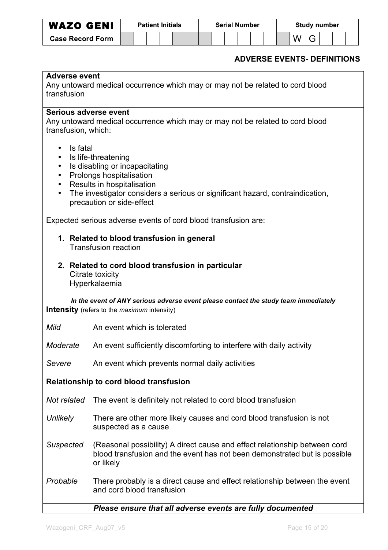| <b>WAZO GENI</b>        | <b>Patient Initials</b> |  |  |  |  |  |  | <b>Serial Number</b> |  | <b>Study number</b> |  |  |  |  |  |
|-------------------------|-------------------------|--|--|--|--|--|--|----------------------|--|---------------------|--|--|--|--|--|
| <b>Case Record Form</b> |                         |  |  |  |  |  |  |                      |  |                     |  |  |  |  |  |

## **ADVERSE EVENTS- DEFINITIONS**

| <b>Adverse event</b>                                              |                                                                                                                                                                                                                               |
|-------------------------------------------------------------------|-------------------------------------------------------------------------------------------------------------------------------------------------------------------------------------------------------------------------------|
| transfusion                                                       | Any untoward medical occurrence which may or may not be related to cord blood                                                                                                                                                 |
|                                                                   |                                                                                                                                                                                                                               |
| Serious adverse event<br>transfusion, which:                      | Any untoward medical occurrence which may or may not be related to cord blood                                                                                                                                                 |
| Is fatal<br>$\bullet$<br>$\bullet$<br>$\bullet$<br>$\bullet$<br>٠ | Is life-threatening<br>Is disabling or incapacitating<br>Prolongs hospitalisation<br>Results in hospitalisation<br>The investigator considers a serious or significant hazard, contraindication,<br>precaution or side-effect |
|                                                                   | Expected serious adverse events of cord blood transfusion are:                                                                                                                                                                |
|                                                                   | 1. Related to blood transfusion in general<br><b>Transfusion reaction</b>                                                                                                                                                     |
|                                                                   | 2. Related to cord blood transfusion in particular<br>Citrate toxicity<br>Hyperkalaemia                                                                                                                                       |
|                                                                   | In the event of ANY serious adverse event please contact the study team immediately                                                                                                                                           |
|                                                                   | <b>Intensity</b> (refers to the <i>maximum</i> intensity)                                                                                                                                                                     |
| Mild                                                              | An event which is tolerated                                                                                                                                                                                                   |
| Moderate                                                          | An event sufficiently discomforting to interfere with daily activity                                                                                                                                                          |
| Severe                                                            | An event which prevents normal daily activities                                                                                                                                                                               |
|                                                                   | Relationship to cord blood transfusion                                                                                                                                                                                        |
| Not related                                                       | The event is definitely not related to cord blood transfusion                                                                                                                                                                 |
| <b>Unlikely</b>                                                   | There are other more likely causes and cord blood transfusion is not<br>suspected as a cause                                                                                                                                  |
| <b>Suspected</b>                                                  | (Reasonal possibility) A direct cause and effect relationship between cord<br>blood transfusion and the event has not been demonstrated but is possible<br>or likely                                                          |
| Probable                                                          | There probably is a direct cause and effect relationship between the event<br>and cord blood transfusion                                                                                                                      |
|                                                                   | Please ensure that all adverse events are fully documented                                                                                                                                                                    |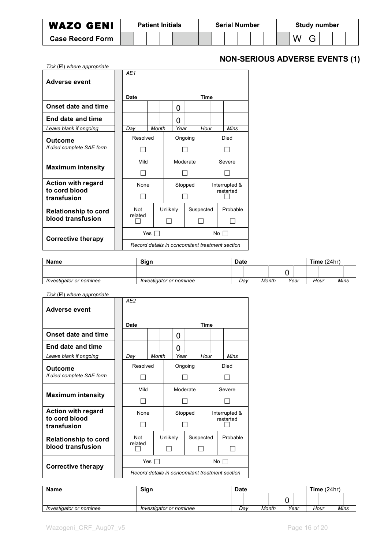| <b>WAZO GENI</b>        | <b>Patient Initials</b> |  |  |  |  |  | <b>Serial Number</b> |  |  |  |  |  | <b>Study number</b> |  |  |  |  |  |
|-------------------------|-------------------------|--|--|--|--|--|----------------------|--|--|--|--|--|---------------------|--|--|--|--|--|
| <b>Case Record Form</b> |                         |  |  |  |  |  |                      |  |  |  |  |  |                     |  |  |  |  |  |

# **NON-SERIOUS ADVERSE EVENTS (1)**

| Tick $(\boxtimes)$ where appropriate       |  |             |     |       |          |      |                                                 |             |  |               |  |
|--------------------------------------------|--|-------------|-----|-------|----------|------|-------------------------------------------------|-------------|--|---------------|--|
| Adverse event                              |  | AF1         |     |       |          |      |                                                 |             |  |               |  |
|                                            |  | <b>Date</b> |     |       |          |      |                                                 | <b>Time</b> |  |               |  |
| Onset date and time                        |  |             |     |       |          | O    |                                                 |             |  |               |  |
| End date and time                          |  |             |     |       |          | O    |                                                 |             |  |               |  |
| Leave blank if ongoing                     |  | Day         |     | Month |          | Year |                                                 | Hour        |  | Mins          |  |
| Outcome                                    |  | Resolved    |     |       |          |      | Ongoing                                         |             |  | Died          |  |
| If died complete SAE form                  |  |             |     |       |          |      |                                                 |             |  |               |  |
| <b>Maximum intensity</b>                   |  | Mild        |     |       |          |      | Moderate                                        |             |  | Severe        |  |
|                                            |  |             |     |       |          |      |                                                 |             |  |               |  |
| <b>Action with regard</b><br>to cord blood |  | None        |     |       |          |      | Stopped                                         |             |  | Interrupted & |  |
| transfusion                                |  |             |     |       |          |      |                                                 |             |  | restarted     |  |
| <b>Relationship to cord</b>                |  | <b>Not</b>  |     |       | Unlikely |      |                                                 | Suspected   |  | Probable      |  |
| blood transfusion                          |  | related     |     |       |          |      |                                                 |             |  |               |  |
|                                            |  |             | Yes |       |          |      |                                                 |             |  | No $\Gamma$   |  |
| Corrective therapy                         |  |             |     |       |          |      | Record details in concomitant treatment section |             |  |               |  |

| Name                    | Sian                    | <b>Date</b> |       |        | Time $(24hr)$ |      |
|-------------------------|-------------------------|-------------|-------|--------|---------------|------|
|                         |                         |             |       | ,<br>∼ |               |      |
| Investigator or nominee | Investigator or nominee | Dav         | Month | Year   | Hour          | Mins |

| Tick $(\boxtimes)$ where appropriate |  |  |  |  |
|--------------------------------------|--|--|--|--|
|--------------------------------------|--|--|--|--|

| $\sum$<br>Adverse event      | AE <sub>2</sub>                                 |       |          |      |          |             |  |               |  |
|------------------------------|-------------------------------------------------|-------|----------|------|----------|-------------|--|---------------|--|
|                              |                                                 |       |          |      |          |             |  |               |  |
|                              | Date                                            |       |          |      |          | <b>Time</b> |  |               |  |
| <b>Onset date and time</b>   |                                                 |       |          | 0    |          |             |  |               |  |
| End date and time            |                                                 |       |          | O    |          |             |  |               |  |
| Leave blank if ongoing       | Day                                             | Month |          | Year |          | Hour        |  | Mins          |  |
| Outcome                      | Resolved                                        |       |          |      | Ongoing  |             |  | Died          |  |
| If died complete SAE form    |                                                 |       |          |      |          |             |  |               |  |
| <b>Maximum intensity</b>     | Mild                                            |       |          |      | Moderate |             |  | Severe        |  |
|                              |                                                 |       |          |      |          |             |  |               |  |
| <b>Action with regard</b>    | None                                            |       |          |      | Stopped  |             |  | Interrupted & |  |
| to cord blood<br>transfusion |                                                 |       |          |      |          |             |  | restarted     |  |
| <b>Relationship to cord</b>  | Not                                             |       | Unlikely |      |          | Suspected   |  | Probable      |  |
| blood transfusion            | related                                         |       |          |      |          |             |  |               |  |
| <b>Corrective therapy</b>    |                                                 | Yes   |          |      |          | No.         |  |               |  |
|                              | Record details in concomitant treatment section |       |          |      |          |             |  |               |  |

| <b>Name</b>             | Sign                    | <b>Date</b> |       |      | Time $(24hr)$ |      |
|-------------------------|-------------------------|-------------|-------|------|---------------|------|
|                         |                         |             |       |      |               |      |
| Investigator or nominee | Investigator or nominee | Dav         | Month | Year | Hour          | Mins |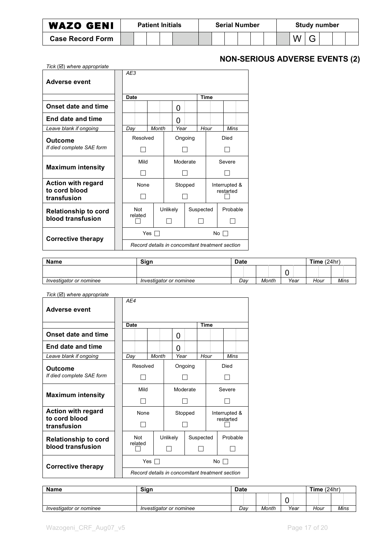| <b>WAZO GENI</b>        |  | <b>Patient Initials</b> | <b>Serial Number</b> |  |  |  |  | <b>Study number</b> |  |  |  |  |  |  |
|-------------------------|--|-------------------------|----------------------|--|--|--|--|---------------------|--|--|--|--|--|--|
| <b>Case Record Form</b> |  |                         |                      |  |  |  |  |                     |  |  |  |  |  |  |

# **NON-SERIOUS ADVERSE EVENTS (2)**

| Tick $(\boxtimes)$ where appropriate |             |     |       |          |      |             |             |  |                                                 |  |
|--------------------------------------|-------------|-----|-------|----------|------|-------------|-------------|--|-------------------------------------------------|--|
|                                      | AE3         |     |       |          |      |             |             |  |                                                 |  |
| Adverse event                        |             |     |       |          |      |             |             |  |                                                 |  |
|                                      | <b>Date</b> |     |       |          |      |             | <b>Time</b> |  |                                                 |  |
| Onset date and time                  |             |     |       |          | O    |             |             |  |                                                 |  |
| End date and time                    |             |     |       |          | O    |             |             |  |                                                 |  |
| Leave blank if ongoing               | Day         |     | Month |          | Year |             | Hour        |  | Mins                                            |  |
| Outcome                              | Resolved    |     |       |          |      | Ongoing     |             |  | Died                                            |  |
| If died complete SAE form            |             |     |       |          |      |             |             |  |                                                 |  |
| <b>Maximum intensity</b>             | Mild        |     |       |          |      | Moderate    |             |  | Severe                                          |  |
|                                      |             |     |       |          |      |             |             |  |                                                 |  |
| <b>Action with regard</b>            | None        |     |       |          |      | Stopped     |             |  | Interrupted &                                   |  |
| to cord blood<br>transfusion         |             |     |       |          |      |             |             |  | restarted                                       |  |
| <b>Relationship to cord</b>          | <b>Not</b>  |     |       | Unlikely |      |             | Suspected   |  | Probable                                        |  |
| blood transfusion                    | related     |     |       |          |      |             |             |  |                                                 |  |
| Corrective therapy                   |             | Yes |       |          |      | No $\Gamma$ |             |  |                                                 |  |
|                                      |             |     |       |          |      |             |             |  | Record details in concomitant treatment section |  |

| Name                    | Sian                    | <b>Date</b> |     |       |        | Time $(24hr)$ |      |
|-------------------------|-------------------------|-------------|-----|-------|--------|---------------|------|
|                         |                         |             |     |       | ,<br>∼ |               |      |
| Investigator or nominee | Investigator or nominee |             | Dav | Month | Year   | Hour          | Mins |

| Tick $(\boxtimes)$ where appropriate |  |  |  |  |
|--------------------------------------|--|--|--|--|
|--------------------------------------|--|--|--|--|

| $\sum_{i=1}^{n}$             | AE4                                             |       |          |         |                 |             |               |           |  |
|------------------------------|-------------------------------------------------|-------|----------|---------|-----------------|-------------|---------------|-----------|--|
| Adverse event                |                                                 |       |          |         |                 |             |               |           |  |
|                              | <b>Date</b>                                     |       |          |         |                 | <b>Time</b> |               |           |  |
| <b>Onset date and time</b>   |                                                 |       |          | 0       |                 |             |               |           |  |
| <b>End date and time</b>     |                                                 |       |          | 0       |                 |             |               |           |  |
| Leave blank if ongoing       | Day                                             | Month |          | Year    |                 | Hour        |               | Mins      |  |
| Outcome                      | Resolved                                        |       |          |         | Ongoing         |             |               | Died      |  |
| If died complete SAE form    |                                                 |       |          |         |                 |             |               |           |  |
| <b>Maximum intensity</b>     | Mild                                            |       |          |         | Moderate        |             |               | Severe    |  |
|                              |                                                 |       |          |         |                 |             |               |           |  |
| <b>Action with regard</b>    | None                                            |       |          | Stopped |                 |             | Interrupted & |           |  |
| to cord blood<br>transfusion |                                                 |       |          |         |                 |             |               | restarted |  |
| <b>Relationship to cord</b>  | <b>Not</b>                                      |       | Unlikely |         |                 | Suspected   |               | Probable  |  |
| blood transfusion            | related                                         |       |          |         |                 |             |               |           |  |
| <b>Corrective therapy</b>    |                                                 | Yes   |          |         | No <sub>l</sub> |             |               |           |  |
|                              | Record details in concomitant treatment section |       |          |         |                 |             |               |           |  |

| <b>Name</b>             | Sign                    | <b>Date</b> |       |      | Time $(24hr)$ |      |
|-------------------------|-------------------------|-------------|-------|------|---------------|------|
|                         |                         |             |       |      |               |      |
| Investigator or nominee | Investigator or nominee | Dav         | Month | Year | Hour          | Mins |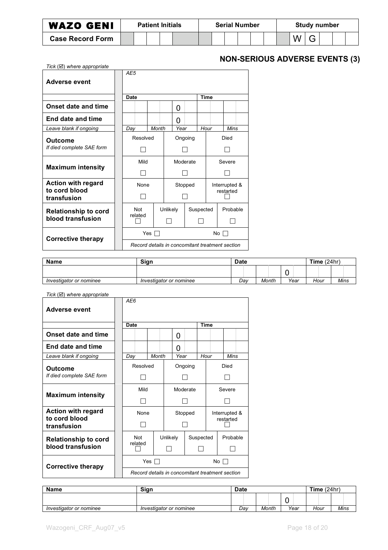| <b>WAZO GENI</b>        |  | <b>Patient Initials</b> | <b>Serial Number</b> |  |  |  |  | <b>Study number</b> |  |  |  |  |  |  |
|-------------------------|--|-------------------------|----------------------|--|--|--|--|---------------------|--|--|--|--|--|--|
| <b>Case Record Form</b> |  |                         |                      |  |  |  |  |                     |  |  |  |  |  |  |

# **NON-SERIOUS ADVERSE EVENTS (3)**

| Tick $(\boxtimes)$ where appropriate |             |     |       |          |      |           |             |      |                                                 |  |
|--------------------------------------|-------------|-----|-------|----------|------|-----------|-------------|------|-------------------------------------------------|--|
| <b>Adverse event</b>                 | AE5         |     |       |          |      |           |             |      |                                                 |  |
|                                      | <b>Date</b> |     |       |          |      |           | <b>Time</b> |      |                                                 |  |
| Onset date and time                  |             |     |       |          | 0    |           |             |      |                                                 |  |
| End date and time                    |             |     |       |          | O    |           |             |      |                                                 |  |
| Leave blank if ongoing               | Day         |     | Month |          | Year |           | Hour        |      | Mins                                            |  |
| Outcome                              | Resolved    |     |       |          |      | Ongoing   |             | Died |                                                 |  |
| If died complete SAE form            |             |     |       |          |      |           |             |      |                                                 |  |
| <b>Maximum intensity</b>             | Mild        |     |       |          |      | Moderate  |             |      | Severe                                          |  |
|                                      |             |     |       |          |      |           |             |      |                                                 |  |
| <b>Action with regard</b>            | None        |     |       |          |      | Stopped   |             |      | Interrupted &                                   |  |
| to cord blood<br>transfusion         |             |     |       |          |      |           |             |      | restarted                                       |  |
| <b>Relationship to cord</b>          | <b>Not</b>  |     |       | Unlikely |      |           | Suspected   |      | Probable                                        |  |
| blood transfusion                    | related     |     |       |          |      |           |             |      |                                                 |  |
| <b>Corrective therapy</b>            |             | Yes |       |          |      | No $\Box$ |             |      |                                                 |  |
|                                      |             |     |       |          |      |           |             |      | Record details in concomitant treatment section |  |

| <b>Name</b>             | Sian                    | <b>Date</b> |       |      | Time $(24hr)$ |      |
|-------------------------|-------------------------|-------------|-------|------|---------------|------|
|                         |                         |             |       | ∼    |               |      |
| Investigator or nominee | Investigator or nominee | Dav         | Month | Year | Hour          | Mins |

| Tick $(\boxtimes)$ where appropriate |  |  |  |  |
|--------------------------------------|--|--|--|--|
|--------------------------------------|--|--|--|--|

| $\sum$                       | AE6                                             |       |          |      |          |             |     |               |  |
|------------------------------|-------------------------------------------------|-------|----------|------|----------|-------------|-----|---------------|--|
| Adverse event                |                                                 |       |          |      |          |             |     |               |  |
|                              | Date                                            |       |          |      |          | <b>Time</b> |     |               |  |
| <b>Onset date and time</b>   |                                                 |       |          | 0    |          |             |     |               |  |
| End date and time            |                                                 |       |          | O    |          |             |     |               |  |
| Leave blank if ongoing       | Day                                             | Month |          | Year |          | Hour        |     | Mins          |  |
| Outcome                      | Resolved                                        |       |          |      | Ongoing  |             |     | Died          |  |
| If died complete SAE form    |                                                 |       |          |      |          |             |     |               |  |
|                              | Mild                                            |       |          |      | Moderate |             |     | Severe        |  |
| <b>Maximum intensity</b>     |                                                 |       |          |      |          |             |     |               |  |
| <b>Action with regard</b>    | None                                            |       |          |      | Stopped  |             |     | Interrupted & |  |
| to cord blood<br>transfusion |                                                 |       |          |      |          |             |     | restarted     |  |
| <b>Relationship to cord</b>  | Not                                             |       | Unlikely |      |          | Suspected   |     | Probable      |  |
| blood transfusion            | related                                         |       |          |      |          |             |     |               |  |
| <b>Corrective therapy</b>    |                                                 | Yes   |          |      |          |             | No. |               |  |
|                              | Record details in concomitant treatment section |       |          |      |          |             |     |               |  |

| <b>Name</b>             | <b>Sian</b>             | <b>Date</b> |       |      | Time $(24hr)$ |      |
|-------------------------|-------------------------|-------------|-------|------|---------------|------|
|                         |                         |             |       | -    |               |      |
| Investigator or nominee | Investigator or nominee | Dav         | Month | Year | Hour          | Mins |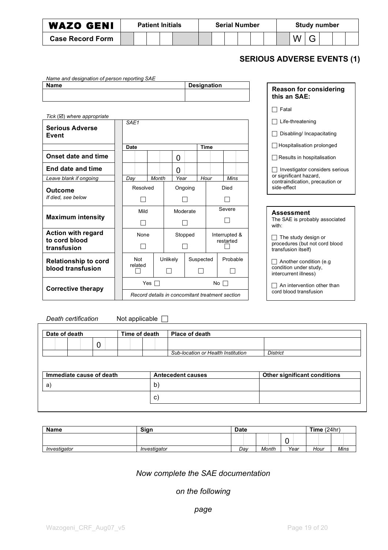| <b>WAZO GENI</b>        |  | <b>Patient Initials</b> |  |  | <b>Serial Number</b> |  |  | <b>Study number</b> |  |  |
|-------------------------|--|-------------------------|--|--|----------------------|--|--|---------------------|--|--|
| <b>Case Record Form</b> |  |                         |  |  |                      |  |  |                     |  |  |

## **SERIOUS ADVERSE EVENTS (1)**

| Name and designation of person reporting SAE |                    |
|----------------------------------------------|--------------------|
| Name                                         | <b>Designation</b> |
|                                              |                    |
|                                              |                    |

| Tick $(\boxtimes)$ where appropriate |                  |                                                 |       |          |      |          |               |    |             |  |  |
|--------------------------------------|------------------|-------------------------------------------------|-------|----------|------|----------|---------------|----|-------------|--|--|
| <b>Serious Adverse</b><br>Event      | SAF <sub>1</sub> |                                                 |       |          |      |          |               |    |             |  |  |
|                                      | Date             |                                                 |       |          |      |          | <b>Time</b>   |    |             |  |  |
| <b>Onset date and time</b>           |                  |                                                 |       |          | 0    |          |               |    |             |  |  |
| End date and time                    |                  |                                                 |       |          | O    |          |               |    |             |  |  |
| Leave blank if ongoing               | Day              |                                                 | Month |          | Year |          | Hour          |    | <b>Mins</b> |  |  |
| Outcome                              |                  | Resolved                                        |       |          |      | Ongoing  |               |    | Died        |  |  |
| If died, see below                   |                  |                                                 |       |          |      |          |               |    |             |  |  |
|                                      |                  | Mild                                            |       |          |      | Moderate |               |    | Severe      |  |  |
| <b>Maximum intensity</b>             |                  |                                                 |       |          |      |          |               |    |             |  |  |
| <b>Action with regard</b>            |                  | None                                            |       |          |      | Stopped  | Interrupted & |    |             |  |  |
| to cord blood<br>transfusion         |                  |                                                 |       |          |      |          |               |    | restarted   |  |  |
| <b>Relationship to cord</b>          | Not              |                                                 |       | Unlikely |      |          | Suspected     |    | Probable    |  |  |
| blood transfusion                    | related          |                                                 |       |          |      |          |               |    |             |  |  |
| Corrective therapy                   |                  | Yes                                             |       |          |      |          |               | No |             |  |  |
|                                      |                  | Record details in concomitant treatment section |       |          |      |          |               |    |             |  |  |

| Reason for considering<br>this an SAE:                                                                               |
|----------------------------------------------------------------------------------------------------------------------|
| □ Fatal                                                                                                              |
| $\Box$ Life-threatening                                                                                              |
| $\Box$ Disabling/ Incapacitating                                                                                     |
| □ Hospitalisation prolonged                                                                                          |
| □ Results in hospitalisation                                                                                         |
| Investigator considers serious<br>$\Box$<br>or significant hazard,<br>contraindication, precaution or<br>side-effect |
|                                                                                                                      |
| Assessment<br>The SAE is probably associated<br>with:                                                                |
| $\Box$ The study design or<br>procedures (but not cord blood<br>transfusion itself)                                  |
| $\Box$ A saileachd an different form                                                                                 |

 $\Box$  Another condition (e.g condition under study, intercurrent illness)

 $\Box$  An intervention other than cord blood transfusion

*Death certification* Not applicable

| Date of death            |  | Time of death | Place of death                     |                              |
|--------------------------|--|---------------|------------------------------------|------------------------------|
|                          |  |               |                                    |                              |
|                          |  |               | Sub-location or Health Institution | <b>District</b>              |
|                          |  |               |                                    |                              |
| Immediate cause of death |  |               | <b>Antecedent causes</b>           | Other significant conditions |
| a)                       |  | b)            |                                    |                              |

| <b>Name</b>  | <b>Sian</b>  | <b>Date</b> |       |      | Time $(24hr)$ |      |
|--------------|--------------|-------------|-------|------|---------------|------|
|              |              |             |       | ∼    |               |      |
| Investigator | Investigator | Day         | Month | Year | Hour          | Mins |

*Now complete the SAE documentation*

*on the following*